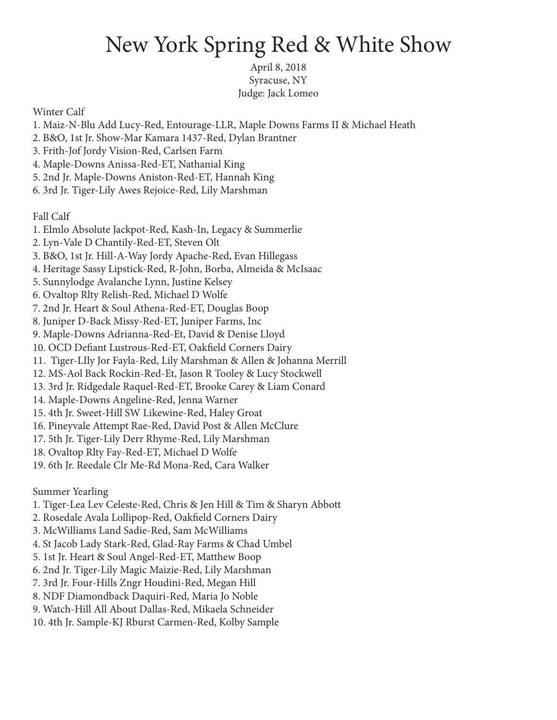## New York Spring Red & White Show

April 8, 2018 Syracuse, NY Judge: Jack Lomeo

Winter Calf

- 1. Maiz-N-Blu Add Lucy-Red, Entourage-LLR, Maple Downs Farms II & Michael Heath
- 2. B&O, 1st Jr. Show-Mar Kamara 1437-Red, Dylan Brantner
- 3. Frith-Jof Jordy Vision-Red, Carlsen Farm
- 4. Maple-Downs Anissa-Red-ET, Nathanial King
- 5. 2nd Jr. Maple-Downs Aniston-Red-ET, Hannah King
- 6. 3rd Jr. Tiger-Lily Awes Rejoice-Red, Lily Marshman

Fall Calf

- 1. Elmlo Absolute Jackpot-Red, Kash-In, Legacy & Summerlie
- 2. Lyn-Vale D Chantily-Red-ET, Steven Olt
- 3. B&O, 1st Jr. Hill-A-Way Jordy Apache-Red, Evan Hillegass
- 4. Heritage Sassy Lipstick-Red, R-John, Borba, Almeida & McIsaac
- 5. Sunnylodge Avalanche Lynn, Justine Kelsey
- 6. Ovaltop Rlty Relish-Red, Michael D Wolfe
- 7. 2nd Jr. Heart & Soul Athena-Red-ET, Douglas Boop
- 8. Juniper D-Back Missy-Red-ET, Juniper Farms, Inc
- 9. Maple-Downs Adrianna-Red-Et, David & Denise Lloyd
- 10. OCD Defiant Lustrous-Red-ET, Oakfield Corners Dairy
- 11. Tiger-LIly Jor Fayla-Red, Lily Marshman & Allen & Johanna Merrill
- 12. MS-Aol Back Rockin-Red-Et, Jason R Tooley & Lucy Stockwell
- 13. 3rd Jr. Ridgedale Raquel-Red-ET, Brooke Carey & Liam Conard
- 14. Maple-Downs Angeline-Red, Jenna Warner
- 15. 4th Jr. Sweet-Hill SW Likewine-Red, Haley Groat
- 16. Pineyvale Attempt Rae-Red, David Post & Allen McClure
- 17. 5th Jr. Tiger-Lily Derr Rhyme-Red, Lily Marshman
- 18. Ovaltop Rlty Fay-Red-ET, Michael D Wolfe
- 19. 6th Jr. Reedale Clr Me-Rd Mona-Red, Cara Walker

Summer Yearling

- 1. Tiger-Lea Lev Celeste-Red, Chris & Jen Hill & Tim & Sharyn Abbott
- 2. Rosedale Avala Lollipop-Red, Oakfield Corners Dairy
- 3. McWilliams Land Sadie-Red, Sam McWilliams
- 4. St Jacob Lady Stark-Red, Glad-Ray Farms & Chad Umbel
- 5. 1st Jr. Heart & Soul Angel-Red-ET, Matthew Boop
- 6. 2nd Jr. Tiger-Lily Magic Maizie-Red, Lily Marshman
- 7. 3rd Jr. Four-Hills Zngr Houdini-Red, Megan Hill
- 8. NDF Diamondback Daquiri-Red, Maria Jo Noble
- 9. Watch-Hill All About Dallas-Red, Mikaela Schneider
- 10. 4th Jr. Sample-KJ Rburst Carmen-Red, Kolby Sample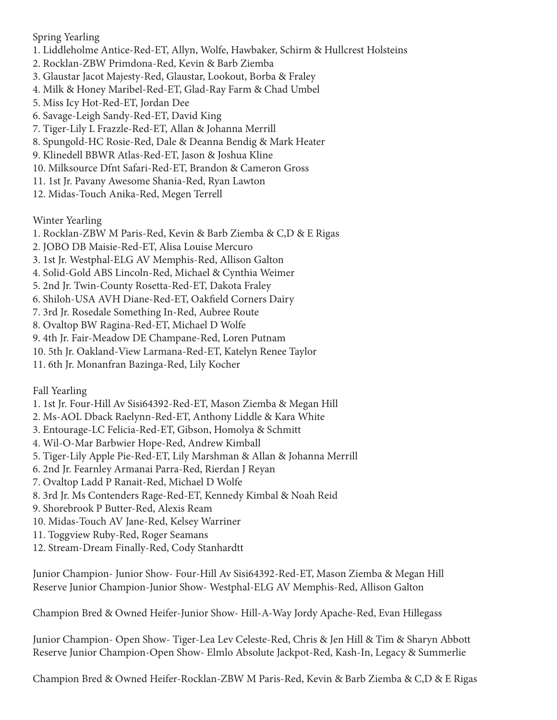## Spring Yearling

- 1. Liddleholme Antice-Red-ET, Allyn, Wolfe, Hawbaker, Schirm & Hullcrest Holsteins
- 2. Rocklan-ZBW Primdona-Red, Kevin & Barb Ziemba
- 3. Glaustar Jacot Majesty-Red, Glaustar, Lookout, Borba & Fraley
- 4. Milk & Honey Maribel-Red-ET, Glad-Ray Farm & Chad Umbel
- 5. Miss Icy Hot-Red-ET, Jordan Dee
- 6. Savage-Leigh Sandy-Red-ET, David King
- 7. Tiger-Lily L Frazzle-Red-ET, Allan & Johanna Merrill
- 8. Spungold-HC Rosie-Red, Dale & Deanna Bendig & Mark Heater
- 9. Klinedell BBWR Atlas-Red-ET, Jason & Joshua Kline
- 10. Milksource Dfnt Safari-Red-ET, Brandon & Cameron Gross
- 11. 1st Jr. Pavany Awesome Shania-Red, Ryan Lawton
- 12. Midas-Touch Anika-Red, Megen Terrell

Winter Yearling

- 1. Rocklan-ZBW M Paris-Red, Kevin & Barb Ziemba & C,D & E Rigas
- 2. JOBO DB Maisie-Red-ET, Alisa Louise Mercuro
- 3. 1st Jr. Westphal-ELG AV Memphis-Red, Allison Galton
- 4. Solid-Gold ABS Lincoln-Red, Michael & Cynthia Weimer
- 5. 2nd Jr. Twin-County Rosetta-Red-ET, Dakota Fraley
- 6. Shiloh-USA AVH Diane-Red-ET, Oakfield Corners Dairy
- 7. 3rd Jr. Rosedale Something In-Red, Aubree Route
- 8. Ovaltop BW Ragina-Red-ET, Michael D Wolfe
- 9. 4th Jr. Fair-Meadow DE Champane-Red, Loren Putnam
- 10. 5th Jr. Oakland-View Larmana-Red-ET, Katelyn Renee Taylor
- 11. 6th Jr. Monanfran Bazinga-Red, Lily Kocher

Fall Yearling

- 1. 1st Jr. Four-Hill Av Sisi64392-Red-ET, Mason Ziemba & Megan Hill
- 2. Ms-AOL Dback Raelynn-Red-ET, Anthony Liddle & Kara White
- 3. Entourage-LC Felicia-Red-ET, Gibson, Homolya & Schmitt
- 4. Wil-O-Mar Barbwier Hope-Red, Andrew Kimball
- 5. Tiger-Lily Apple Pie-Red-ET, Lily Marshman & Allan & Johanna Merrill
- 6. 2nd Jr. Fearnley Armanai Parra-Red, Rierdan J Reyan
- 7. Ovaltop Ladd P Ranait-Red, Michael D Wolfe
- 8. 3rd Jr. Ms Contenders Rage-Red-ET, Kennedy Kimbal & Noah Reid
- 9. Shorebrook P Butter-Red, Alexis Ream
- 10. Midas-Touch AV Jane-Red, Kelsey Warriner
- 11. Toggview Ruby-Red, Roger Seamans
- 12. Stream-Dream Finally-Red, Cody Stanhardtt

Junior Champion- Junior Show- Four-Hill Av Sisi64392-Red-ET, Mason Ziemba & Megan Hill Reserve Junior Champion-Junior Show- Westphal-ELG AV Memphis-Red, Allison Galton

Champion Bred & Owned Heifer-Junior Show- Hill-A-Way Jordy Apache-Red, Evan Hillegass

Junior Champion- Open Show- Tiger-Lea Lev Celeste-Red, Chris & Jen Hill & Tim & Sharyn Abbott Reserve Junior Champion-Open Show- Elmlo Absolute Jackpot-Red, Kash-In, Legacy & Summerlie

Champion Bred & Owned Heifer-Rocklan-ZBW M Paris-Red, Kevin & Barb Ziemba & C,D & E Rigas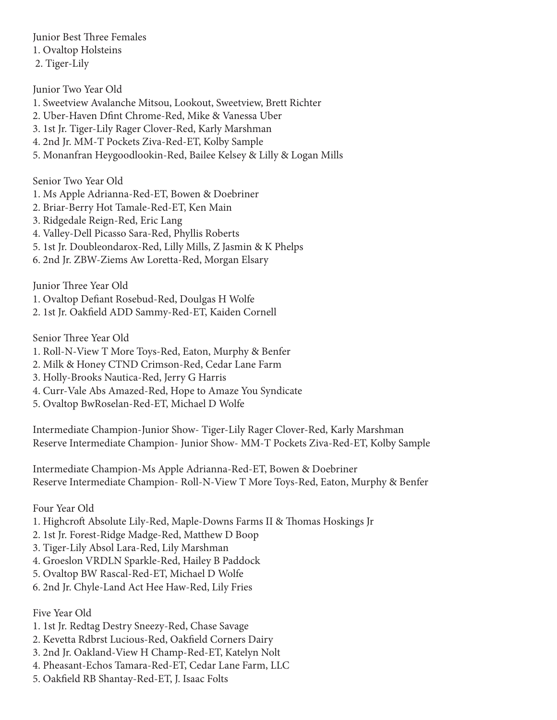Junior Best Three Females 1. Ovaltop Holsteins 2. Tiger-Lily

Junior Two Year Old 1. Sweetview Avalanche Mitsou, Lookout, Sweetview, Brett Richter 2. Uber-Haven Dfint Chrome-Red, Mike & Vanessa Uber 3. 1st Jr. Tiger-Lily Rager Clover-Red, Karly Marshman

- 4. 2nd Jr. MM-T Pockets Ziva-Red-ET, Kolby Sample
- 5. Monanfran Heygoodlookin-Red, Bailee Kelsey & Lilly & Logan Mills

Senior Two Year Old

- 1. Ms Apple Adrianna-Red-ET, Bowen & Doebriner
- 2. Briar-Berry Hot Tamale-Red-ET, Ken Main
- 3. Ridgedale Reign-Red, Eric Lang
- 4. Valley-Dell Picasso Sara-Red, Phyllis Roberts
- 5. 1st Jr. Doubleondarox-Red, Lilly Mills, Z Jasmin & K Phelps
- 6. 2nd Jr. ZBW-Ziems Aw Loretta-Red, Morgan Elsary

Junior Three Year Old

- 1. Ovaltop Defiant Rosebud-Red, Doulgas H Wolfe
- 2. 1st Jr. Oakfield ADD Sammy-Red-ET, Kaiden Cornell

Senior Three Year Old

- 1. Roll-N-View T More Toys-Red, Eaton, Murphy & Benfer
- 2. Milk & Honey CTND Crimson-Red, Cedar Lane Farm
- 3. Holly-Brooks Nautica-Red, Jerry G Harris
- 4. Curr-Vale Abs Amazed-Red, Hope to Amaze You Syndicate
- 5. Ovaltop BwRoselan-Red-ET, Michael D Wolfe

Intermediate Champion-Junior Show- Tiger-Lily Rager Clover-Red, Karly Marshman Reserve Intermediate Champion- Junior Show- MM-T Pockets Ziva-Red-ET, Kolby Sample

Intermediate Champion-Ms Apple Adrianna-Red-ET, Bowen & Doebriner Reserve Intermediate Champion- Roll-N-View T More Toys-Red, Eaton, Murphy & Benfer

Four Year Old

- 1. Highcroft Absolute Lily-Red, Maple-Downs Farms II & Thomas Hoskings Jr
- 2. 1st Jr. Forest-Ridge Madge-Red, Matthew D Boop
- 3. Tiger-Lily Absol Lara-Red, Lily Marshman
- 4. Groeslon VRDLN Sparkle-Red, Hailey B Paddock
- 5. Ovaltop BW Rascal-Red-ET, Michael D Wolfe

6. 2nd Jr. Chyle-Land Act Hee Haw-Red, Lily Fries

Five Year Old

- 1. 1st Jr. Redtag Destry Sneezy-Red, Chase Savage
- 2. Kevetta Rdbrst Lucious-Red, Oakfield Corners Dairy
- 3. 2nd Jr. Oakland-View H Champ-Red-ET, Katelyn Nolt
- 4. Pheasant-Echos Tamara-Red-ET, Cedar Lane Farm, LLC
- 5. Oakfield RB Shantay-Red-ET, J. Isaac Folts